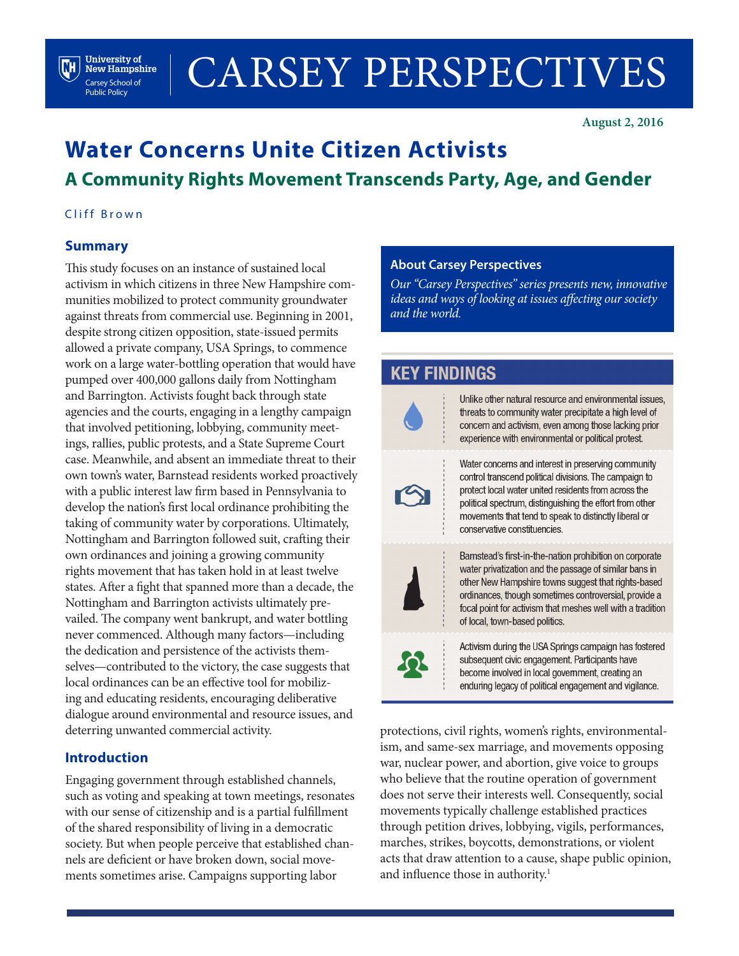# CARSEY PERSPECTIVES

**August 2, 2016**

## **Water Concerns Unite Citizen Activists A Community Rights Movement Transcends Party, Age, and Gender**

#### Cliff Brown

**University of New Hampshire** Carsey School of Public Policy

 $\left( \mathbf{M}\right)$ 

#### **Summary**

This study focuses on an instance of sustained local activism in which citizens in three New Hampshire communities mobilized to protect community groundwater against threats from commercial use. Beginning in 2001, despite strong citizen opposition, state-issued permits allowed a private company, USA Springs, to commence work on a large water-bottling operation that would have pumped over 400,000 gallons daily from Nottingham and Barrington. Activists fought back through state agencies and the courts, engaging in a lengthy campaign that involved petitioning, lobbying, community meetings, rallies, public protests, and a State Supreme Court case. Meanwhile, and absent an immediate threat to their own town's water, Barnstead residents worked proactively with a public interest law firm based in Pennsylvania to develop the nation's first local ordinance prohibiting the taking of community water by corporations. Ultimately, Nottingham and Barrington followed suit, crafting their own ordinances and joining a growing community rights movement that has taken hold in at least twelve states. After a fight that spanned more than a decade, the Nottingham and Barrington activists ultimately prevailed. The company went bankrupt, and water bottling never commenced. Although many factors—including the dedication and persistence of the activists themselves—contributed to the victory, the case suggests that local ordinances can be an effective tool for mobilizing and educating residents, encouraging deliberative dialogue around environmental and resource issues, and deterring unwanted commercial activity.

#### **Introduction**

Engaging government through established channels, such as voting and speaking at town meetings, resonates with our sense of citizenship and is a partial fulfillment of the shared responsibility of living in a democratic society. But when people perceive that established channels are deficient or have broken down, social movements sometimes arise. Campaigns supporting labor

#### **About Carsey Perspectives**

*Our "Carsey Perspectives" series presents new, innovative ideas and ways of looking at issues affecting our society and the world.* 

### **KEY FINDINGS**



 $\boldsymbol{\Omega}$ 

Unlike other natural resource and environmental issues. threats to community water precipitate a high level of concern and activism, even among those lacking prior experience with environmental or political protest.

Water concerns and interest in preserving community control transcend political divisions. The campaign to protect local water united residents from across the political spectrum, distinguishing the effort from other movements that tend to speak to distinctly liberal or conservative constituencies.

Barnstead's first-in-the-nation prohibition on corporate water privatization and the passage of similar bans in other New Hampshire towns suggest that rights-based ordinances, though sometimes controversial, provide a focal point for activism that meshes well with a tradition of local, town-based politics.

Activism during the USA Springs campaign has fostered subsequent civic engagement. Participants have become involved in local government, creating an enduring legacy of political engagement and vigilance.

protections, civil rights, women's rights, environmentalism, and same-sex marriage, and movements opposing war, nuclear power, and abortion, give voice to groups who believe that the routine operation of government does not serve their interests well. Consequently, social movements typically challenge established practices through petition drives, lobbying, vigils, performances, marches, strikes, boycotts, demonstrations, or violent acts that draw attention to a cause, shape public opinion, and influence those in authority.<sup>1</sup>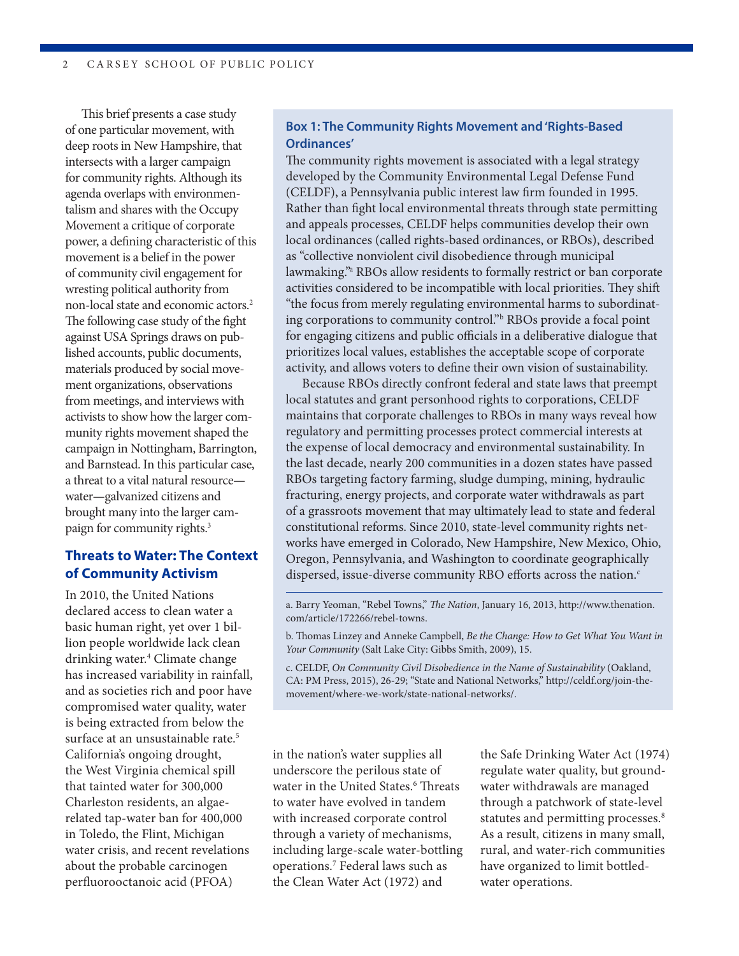This brief presents a case study of one particular movement, with deep roots in New Hampshire, that intersects with a larger campaign for community rights. Although its agenda overlaps with environmentalism and shares with the Occupy Movement a critique of corporate power, a defining characteristic of this movement is a belief in the power of community civil engagement for wresting political authority from non-local state and economic actors.2 The following case study of the fight against USA Springs draws on published accounts, public documents, materials produced by social movement organizations, observations from meetings, and interviews with activists to show how the larger community rights movement shaped the campaign in Nottingham, Barrington, and Barnstead. In this particular case, a threat to a vital natural resource water—galvanized citizens and brought many into the larger campaign for community rights.3

#### **Threats to Water: The Context of Community Activism**

In 2010, the United Nations declared access to clean water a basic human right, yet over 1 billion people worldwide lack clean drinking water.4 Climate change has increased variability in rainfall, and as societies rich and poor have compromised water quality, water is being extracted from below the surface at an unsustainable rate.<sup>5</sup> California's ongoing drought, the West Virginia chemical spill that tainted water for 300,000 Charleston residents, an algaerelated tap-water ban for 400,000 in Toledo, the Flint, Michigan water crisis, and recent revelations about the probable carcinogen perfluorooctanoic acid (PFOA)

#### **Box 1: The Community Rights Movement and 'Rights-Based Ordinances'**

The community rights movement is associated with a legal strategy developed by the Community Environmental Legal Defense Fund (CELDF), a Pennsylvania public interest law firm founded in 1995. Rather than fight local environmental threats through state permitting and appeals processes, CELDF helps communities develop their own local ordinances (called rights-based ordinances, or RBOs), described as "collective nonviolent civil disobedience through municipal lawmaking."a RBOs allow residents to formally restrict or ban corporate activities considered to be incompatible with local priorities. They shift "the focus from merely regulating environmental harms to subordinating corporations to community control."b RBOs provide a focal point for engaging citizens and public officials in a deliberative dialogue that prioritizes local values, establishes the acceptable scope of corporate activity, and allows voters to define their own vision of sustainability.

Because RBOs directly confront federal and state laws that preempt local statutes and grant personhood rights to corporations, CELDF maintains that corporate challenges to RBOs in many ways reveal how regulatory and permitting processes protect commercial interests at the expense of local democracy and environmental sustainability. In the last decade, nearly 200 communities in a dozen states have passed RBOs targeting factory farming, sludge dumping, mining, hydraulic fracturing, energy projects, and corporate water withdrawals as part of a grassroots movement that may ultimately lead to state and federal constitutional reforms. Since 2010, state-level community rights networks have emerged in Colorado, New Hampshire, New Mexico, Ohio, Oregon, Pennsylvania, and Washington to coordinate geographically dispersed, issue-diverse community RBO efforts across the nation.<sup>c</sup>

a. Barry Yeoman, "Rebel Towns," *The Nation*, January 16, 2013, http://www.thenation. com/article/172266/rebel-towns.

b. Thomas Linzey and Anneke Campbell, *Be the Change: How to Get What You Want in Your Community* (Salt Lake City: Gibbs Smith, 2009), 15.

c. CELDF, *On Community Civil Disobedience in the Name of Sustainability* (Oakland, CA: PM Press, 2015), 26-29; "State and National Networks," http://celdf.org/join-themovement/where-we-work/state-national-networks/.

in the nation's water supplies all underscore the perilous state of water in the United States.<sup>6</sup> Threats to water have evolved in tandem with increased corporate control through a variety of mechanisms, including large-scale water-bottling operations.7 Federal laws such as the Clean Water Act (1972) and

the Safe Drinking Water Act (1974) regulate water quality, but groundwater withdrawals are managed through a patchwork of state-level statutes and permitting processes.<sup>8</sup> As a result, citizens in many small, rural, and water-rich communities have organized to limit bottledwater operations.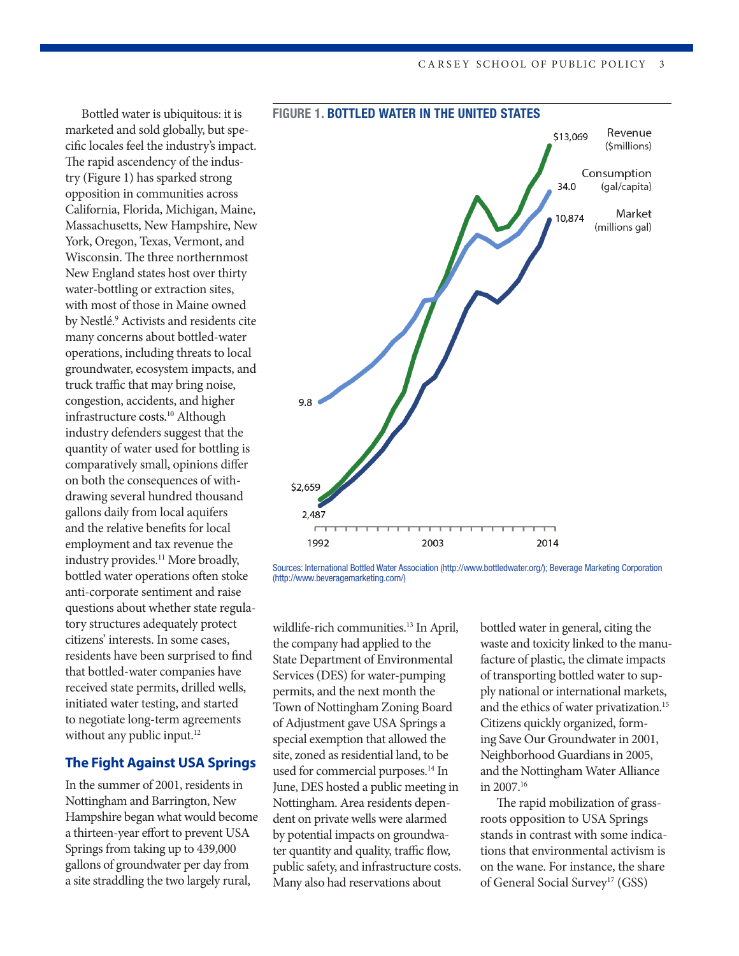Bottled water is ubiquitous: it is marketed and sold globally, but specific locales feel the industry's impact. The rapid ascendency of the industry (Figure 1) has sparked strong opposition in communities across California, Florida, Michigan, Maine, Massachusetts, New Hampshire, New York, Oregon, Texas, Vermont, and Wisconsin. The three northernmost New England states host over thirty water-bottling or extraction sites, with most of those in Maine owned by Nestlé.<sup>9</sup> Activists and residents cite many concerns about bottled-water operations, including threats to local groundwater, ecosystem impacts, and truck traffic that may bring noise, congestion, accidents, and higher infrastructure costs.10 Although industry defenders suggest that the quantity of water used for bottling is comparatively small, opinions differ on both the consequences of withdrawing several hundred thousand gallons daily from local aquifers and the relative benefits for local employment and tax revenue the industry provides.<sup>11</sup> More broadly, bottled water operations often stoke anti-corporate sentiment and raise questions about whether state regulatory structures adequately protect citizens' interests. In some cases, residents have been surprised to find that bottled-water companies have received state permits, drilled wells, initiated water testing, and started to negotiate long-term agreements without any public input.<sup>12</sup>

#### **The Fight Against USA Springs**

In the summer of 2001, residents in Nottingham and Barrington, New Hampshire began what would become a thirteen-year effort to prevent USA Springs from taking up to 439,000 gallons of groundwater per day from a site straddling the two largely rural,



#### FIGURE 1. BOTTLED WATER IN THE UNITED STATES

Sources: International Bottled Water Association (http://www.bottledwater.org/); Beverage Marketing Corporation (http://www.beveragemarketing.com/)

wildlife-rich communities.<sup>13</sup> In April, the company had applied to the State Department of Environmental Services (DES) for water-pumping permits, and the next month the Town of Nottingham Zoning Board of Adjustment gave USA Springs a special exemption that allowed the site, zoned as residential land, to be used for commercial purposes.<sup>14</sup> In June, DES hosted a public meeting in Nottingham. Area residents dependent on private wells were alarmed by potential impacts on groundwater quantity and quality, traffic flow, public safety, and infrastructure costs. Many also had reservations about

bottled water in general, citing the waste and toxicity linked to the manufacture of plastic, the climate impacts of transporting bottled water to supply national or international markets, and the ethics of water privatization.<sup>15</sup> Citizens quickly organized, forming Save Our Groundwater in 2001, Neighborhood Guardians in 2005, and the Nottingham Water Alliance in 2007.16

The rapid mobilization of grassroots opposition to USA Springs stands in contrast with some indications that environmental activism is on the wane. For instance, the share of General Social Survey<sup>17</sup> (GSS)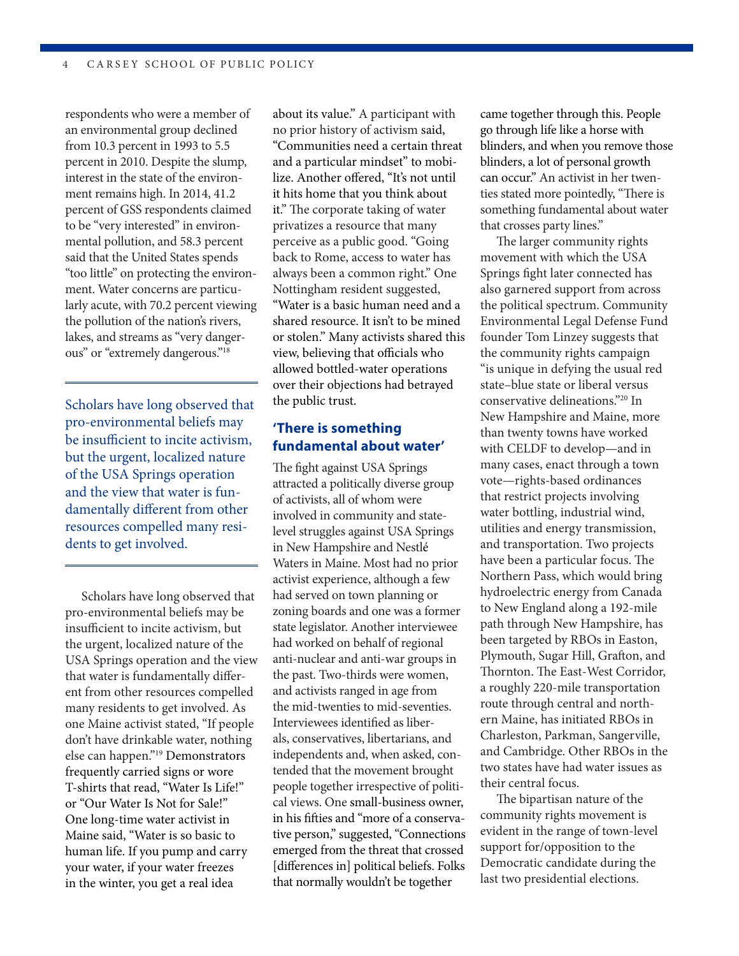respondents who were a member of an environmental group declined from 10.3 percent in 1993 to 5.5 percent in 2010. Despite the slump, interest in the state of the environment remains high. In 2014, 41.2 percent of GSS respondents claimed to be "very interested" in environmental pollution, and 58.3 percent said that the United States spends "too little" on protecting the environment. Water concerns are particularly acute, with 70.2 percent viewing the pollution of the nation's rivers, lakes, and streams as "very dangerous" or "extremely dangerous."18

Scholars have long observed that pro-environmental beliefs may be insufficient to incite activism, but the urgent, localized nature of the USA Springs operation and the view that water is fundamentally different from other resources compelled many residents to get involved.

Scholars have long observed that pro-environmental beliefs may be insufficient to incite activism, but the urgent, localized nature of the USA Springs operation and the view that water is fundamentally different from other resources compelled many residents to get involved. As one Maine activist stated, "If people don't have drinkable water, nothing else can happen."19 Demonstrators frequently carried signs or wore T-shirts that read, "Water Is Life!" or "Our Water Is Not for Sale!" One long-time water activist in Maine said, "Water is so basic to human life. If you pump and carry your water, if your water freezes in the winter, you get a real idea

about its value." A participant with no prior history of activism said, "Communities need a certain threat and a particular mindset" to mobilize. Another offered, "It's not until it hits home that you think about it." The corporate taking of water privatizes a resource that many perceive as a public good. "Going back to Rome, access to water has always been a common right." One Nottingham resident suggested, "Water is a basic human need and a shared resource. It isn't to be mined or stolen." Many activists shared this view, believing that officials who allowed bottled-water operations over their objections had betrayed the public trust.

#### **'There is something fundamental about water'**

The fight against USA Springs attracted a politically diverse group of activists, all of whom were involved in community and statelevel struggles against USA Springs in New Hampshire and Nestlé Waters in Maine. Most had no prior activist experience, although a few had served on town planning or zoning boards and one was a former state legislator. Another interviewee had worked on behalf of regional anti-nuclear and anti-war groups in the past. Two-thirds were women, and activists ranged in age from the mid-twenties to mid-seventies. Interviewees identified as liberals, conservatives, libertarians, and independents and, when asked, contended that the movement brought people together irrespective of political views. One small-business owner, in his fifties and "more of a conservative person," suggested, "Connections emerged from the threat that crossed [differences in] political beliefs. Folks that normally wouldn't be together

came together through this. People go through life like a horse with blinders, and when you remove those blinders, a lot of personal growth can occur." An activist in her twenties stated more pointedly, "There is something fundamental about water that crosses party lines."

The larger community rights movement with which the USA Springs fight later connected has also garnered support from across the political spectrum. Community Environmental Legal Defense Fund founder Tom Linzey suggests that the community rights campaign "is unique in defying the usual red state–blue state or liberal versus conservative delineations."20 In New Hampshire and Maine, more than twenty towns have worked with CELDF to develop—and in many cases, enact through a town vote—rights-based ordinances that restrict projects involving water bottling, industrial wind, utilities and energy transmission, and transportation. Two projects have been a particular focus. The Northern Pass, which would bring hydroelectric energy from Canada to New England along a 192-mile path through New Hampshire, has been targeted by RBOs in Easton, Plymouth, Sugar Hill, Grafton, and Thornton. The East-West Corridor, a roughly 220-mile transportation route through central and northern Maine, has initiated RBOs in Charleston, Parkman, Sangerville, and Cambridge. Other RBOs in the two states have had water issues as their central focus.

The bipartisan nature of the community rights movement is evident in the range of town-level support for/opposition to the Democratic candidate during the last two presidential elections.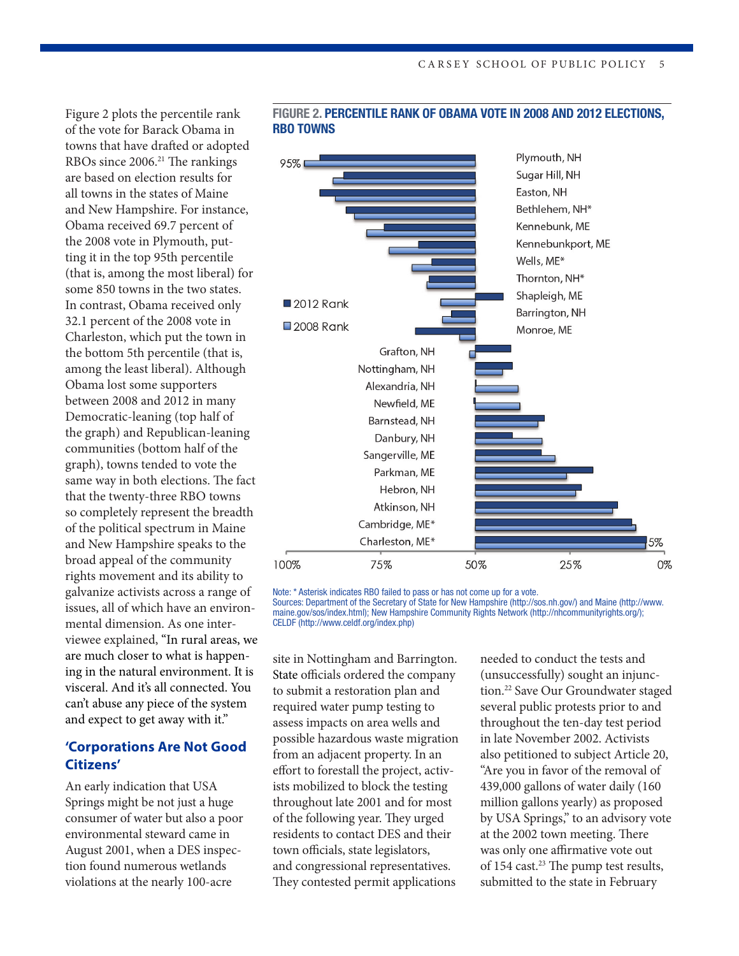Figure 2 plots the percentile rank of the vote for Barack Obama in towns that have drafted or adopted RBOs since 2006.<sup>21</sup> The rankings are based on election results for all towns in the states of Maine and New Hampshire. For instance, Obama received 69.7 percent of the 2008 vote in Plymouth, putting it in the top 95th percentile (that is, among the most liberal) for some 850 towns in the two states. In contrast, Obama received only 32.1 percent of the 2008 vote in Charleston, which put the town in the bottom 5th percentile (that is, among the least liberal). Although Obama lost some supporters between 2008 and 2012 in many Democratic-leaning (top half of the graph) and Republican-leaning communities (bottom half of the graph), towns tended to vote the same way in both elections. The fact that the twenty-three RBO towns so completely represent the breadth of the political spectrum in Maine and New Hampshire speaks to the broad appeal of the community rights movement and its ability to galvanize activists across a range of issues, all of which have an environmental dimension. As one interviewee explained, "In rural areas, we are much closer to what is happening in the natural environment. It is visceral. And it's all connected. You can't abuse any piece of the system and expect to get away with it."

#### **'Corporations Are Not Good Citizens'**

An early indication that USA Springs might be not just a huge consumer of water but also a poor environmental steward came in August 2001, when a DES inspection found numerous wetlands violations at the nearly 100-acre



#### FIGURE 2. PERCENTILE RANK OF OBAMA VOTE IN 2008 AND 2012 ELECTIONS, RBO TOWNS

Note: \* Asterisk indicates RBO failed to pass or has not come up for a vote. Sources: Department of the Secretary of State for New Hampshire (http://sos.nh.gov/) and Maine (http://www. maine.gov/sos/index.html); New Hampshire Community Rights Network (http://nhcommunityrights.org/); CELDF (http://www.celdf.org/index.php)

site in Nottingham and Barrington. State officials ordered the company to submit a restoration plan and required water pump testing to assess impacts on area wells and possible hazardous waste migration from an adjacent property. In an effort to forestall the project, activists mobilized to block the testing throughout late 2001 and for most of the following year. They urged residents to contact DES and their town officials, state legislators, and congressional representatives. They contested permit applications

needed to conduct the tests and (unsuccessfully) sought an injunction.22 Save Our Groundwater staged several public protests prior to and throughout the ten-day test period in late November 2002. Activists also petitioned to subject Article 20, "Are you in favor of the removal of 439,000 gallons of water daily (160 million gallons yearly) as proposed by USA Springs," to an advisory vote at the 2002 town meeting. There was only one affirmative vote out of 154 cast.<sup>23</sup> The pump test results, submitted to the state in February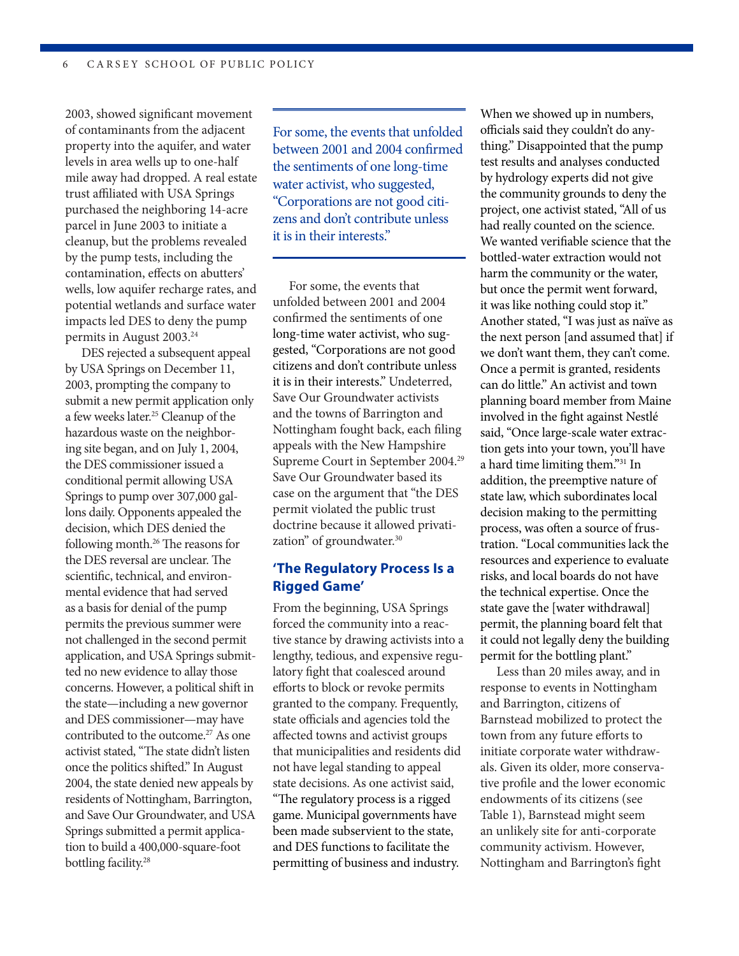2003, showed significant movement of contaminants from the adjacent property into the aquifer, and water levels in area wells up to one-half mile away had dropped. A real estate trust affiliated with USA Springs purchased the neighboring 14-acre parcel in June 2003 to initiate a cleanup, but the problems revealed by the pump tests, including the contamination, effects on abutters' wells, low aquifer recharge rates, and potential wetlands and surface water impacts led DES to deny the pump permits in August 2003.<sup>24</sup>

DES rejected a subsequent appeal by USA Springs on December 11, 2003, prompting the company to submit a new permit application only a few weeks later.25 Cleanup of the hazardous waste on the neighboring site began, and on July 1, 2004, the DES commissioner issued a conditional permit allowing USA Springs to pump over 307,000 gallons daily. Opponents appealed the decision, which DES denied the following month.26 The reasons for the DES reversal are unclear. The scientific, technical, and environmental evidence that had served as a basis for denial of the pump permits the previous summer were not challenged in the second permit application, and USA Springs submitted no new evidence to allay those concerns. However, a political shift in the state—including a new governor and DES commissioner—may have contributed to the outcome.<sup>27</sup> As one activist stated, "The state didn't listen once the politics shifted." In August 2004, the state denied new appeals by residents of Nottingham, Barrington, and Save Our Groundwater, and USA Springs submitted a permit application to build a 400,000-square-foot bottling facility.<sup>28</sup>

For some, the events that unfolded between 2001 and 2004 confirmed the sentiments of one long-time water activist, who suggested, "Corporations are not good citizens and don't contribute unless it is in their interests."

For some, the events that unfolded between 2001 and 2004 confirmed the sentiments of one long-time water activist, who suggested, "Corporations are not good citizens and don't contribute unless it is in their interests." Undeterred, Save Our Groundwater activists and the towns of Barrington and Nottingham fought back, each filing appeals with the New Hampshire Supreme Court in September 2004.<sup>29</sup> Save Our Groundwater based its case on the argument that "the DES permit violated the public trust doctrine because it allowed privatization" of groundwater.30

#### **'The Regulatory Process Is a Rigged Game'**

From the beginning, USA Springs forced the community into a reactive stance by drawing activists into a lengthy, tedious, and expensive regulatory fight that coalesced around efforts to block or revoke permits granted to the company. Frequently, state officials and agencies told the affected towns and activist groups that municipalities and residents did not have legal standing to appeal state decisions. As one activist said, "The regulatory process is a rigged game. Municipal governments have been made subservient to the state, and DES functions to facilitate the permitting of business and industry.

When we showed up in numbers, officials said they couldn't do anything." Disappointed that the pump test results and analyses conducted by hydrology experts did not give the community grounds to deny the project, one activist stated, "All of us had really counted on the science. We wanted verifiable science that the bottled-water extraction would not harm the community or the water, but once the permit went forward, it was like nothing could stop it." Another stated, "I was just as naïve as the next person [and assumed that] if we don't want them, they can't come. Once a permit is granted, residents can do little." An activist and town planning board member from Maine involved in the fight against Nestlé said, "Once large-scale water extraction gets into your town, you'll have a hard time limiting them."31 In addition, the preemptive nature of state law, which subordinates local decision making to the permitting process, was often a source of frustration. "Local communities lack the resources and experience to evaluate risks, and local boards do not have the technical expertise. Once the state gave the [water withdrawal] permit, the planning board felt that it could not legally deny the building permit for the bottling plant."

Less than 20 miles away, and in response to events in Nottingham and Barrington, citizens of Barnstead mobilized to protect the town from any future efforts to initiate corporate water withdrawals. Given its older, more conservative profile and the lower economic endowments of its citizens (see Table 1), Barnstead might seem an unlikely site for anti-corporate community activism. However, Nottingham and Barrington's fight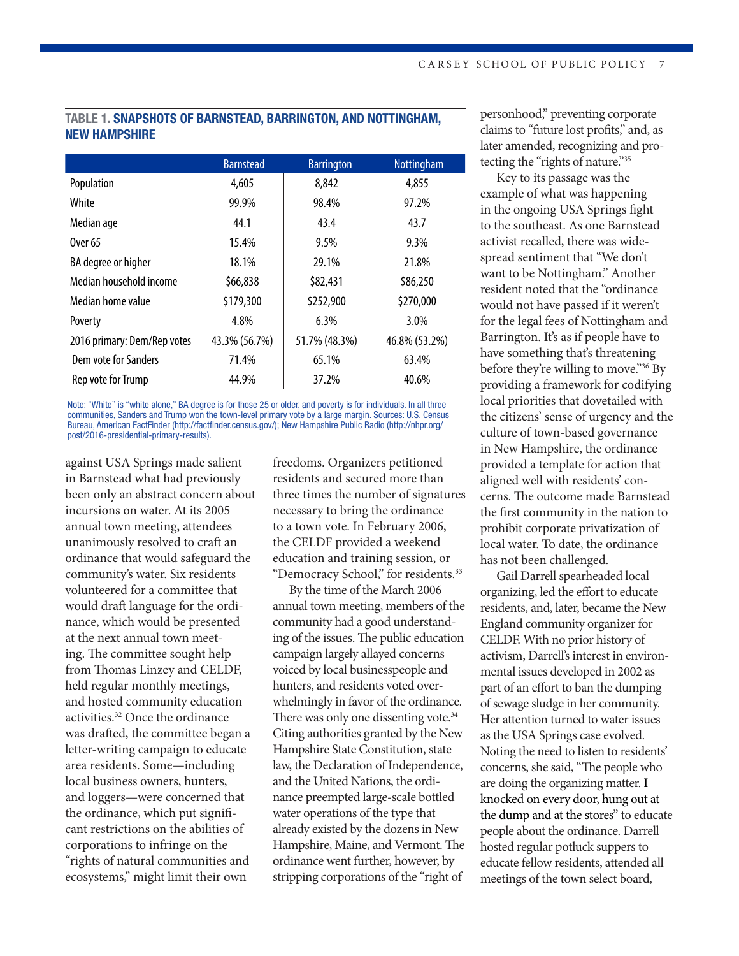#### TABLE 1. SNAPSHOTS OF BARNSTEAD, BARRINGTON, AND NOTTINGHAM, NEW HAMPSHIRE

|                             | <b>Barnstead</b> | <b>Barrington</b> | Nottingham    |
|-----------------------------|------------------|-------------------|---------------|
| Population                  | 4,605            | 8,842             | 4,855         |
| White                       | 99.9%            | 98.4%             | 97.2%         |
| Median age                  | 44.1             | 43.4              | 43.7          |
| 0ver 65                     | 15.4%            | 9.5%              | 9.3%          |
| BA degree or higher         | 18.1%            | 29.1%             | 21.8%         |
| Median household income     | \$66,838         | \$82,431          | \$86,250      |
| Median home value           | \$179,300        | \$252,900         | \$270,000     |
| Poverty                     | 4.8%             | 6.3%              | 3.0%          |
| 2016 primary: Dem/Rep votes | 43.3% (56.7%)    | 51.7% (48.3%)     | 46.8% (53.2%) |
| Dem vote for Sanders        | 71.4%            | 65.1%             | 63.4%         |
| Rep vote for Trump          | 44.9%            | 37.2%             | 40.6%         |

Note: "White" is "white alone," BA degree is for those 25 or older, and poverty is for individuals. In all three communities, Sanders and Trump won the town-level primary vote by a large margin. Sources: U.S. Census Bureau, American FactFinder (http://factfinder.census.gov/); New Hampshire Public Radio (http://nhpr.org/ post/2016-presidential-primary-results).

against USA Springs made salient in Barnstead what had previously been only an abstract concern about incursions on water. At its 2005 annual town meeting, attendees unanimously resolved to craft an ordinance that would safeguard the community's water. Six residents volunteered for a committee that would draft language for the ordinance, which would be presented at the next annual town meeting. The committee sought help from Thomas Linzey and CELDF, held regular monthly meetings, and hosted community education activities.32 Once the ordinance was drafted, the committee began a letter-writing campaign to educate area residents. Some—including local business owners, hunters, and loggers—were concerned that the ordinance, which put significant restrictions on the abilities of corporations to infringe on the "rights of natural communities and ecosystems," might limit their own

freedoms. Organizers petitioned residents and secured more than three times the number of signatures necessary to bring the ordinance to a town vote. In February 2006, the CELDF provided a weekend education and training session, or "Democracy School," for residents.<sup>33</sup>

By the time of the March 2006 annual town meeting, members of the community had a good understanding of the issues. The public education campaign largely allayed concerns voiced by local businesspeople and hunters, and residents voted overwhelmingly in favor of the ordinance. There was only one dissenting vote.<sup>34</sup> Citing authorities granted by the New Hampshire State Constitution, state law, the Declaration of Independence, and the United Nations, the ordinance preempted large-scale bottled water operations of the type that already existed by the dozens in New Hampshire, Maine, and Vermont. The ordinance went further, however, by stripping corporations of the "right of

personhood," preventing corporate claims to "future lost profits," and, as later amended, recognizing and protecting the "rights of nature."35

Key to its passage was the example of what was happening in the ongoing USA Springs fight to the southeast. As one Barnstead activist recalled, there was widespread sentiment that "We don't want to be Nottingham." Another resident noted that the "ordinance would not have passed if it weren't for the legal fees of Nottingham and Barrington. It's as if people have to have something that's threatening before they're willing to move."36 By providing a framework for codifying local priorities that dovetailed with the citizens' sense of urgency and the culture of town-based governance in New Hampshire, the ordinance provided a template for action that aligned well with residents' concerns. The outcome made Barnstead the first community in the nation to prohibit corporate privatization of local water. To date, the ordinance has not been challenged.

Gail Darrell spearheaded local organizing, led the effort to educate residents, and, later, became the New England community organizer for CELDF. With no prior history of activism, Darrell's interest in environmental issues developed in 2002 as part of an effort to ban the dumping of sewage sludge in her community. Her attention turned to water issues as the USA Springs case evolved. Noting the need to listen to residents' concerns, she said, "The people who are doing the organizing matter. I knocked on every door, hung out at the dump and at the stores" to educate people about the ordinance. Darrell hosted regular potluck suppers to educate fellow residents, attended all meetings of the town select board,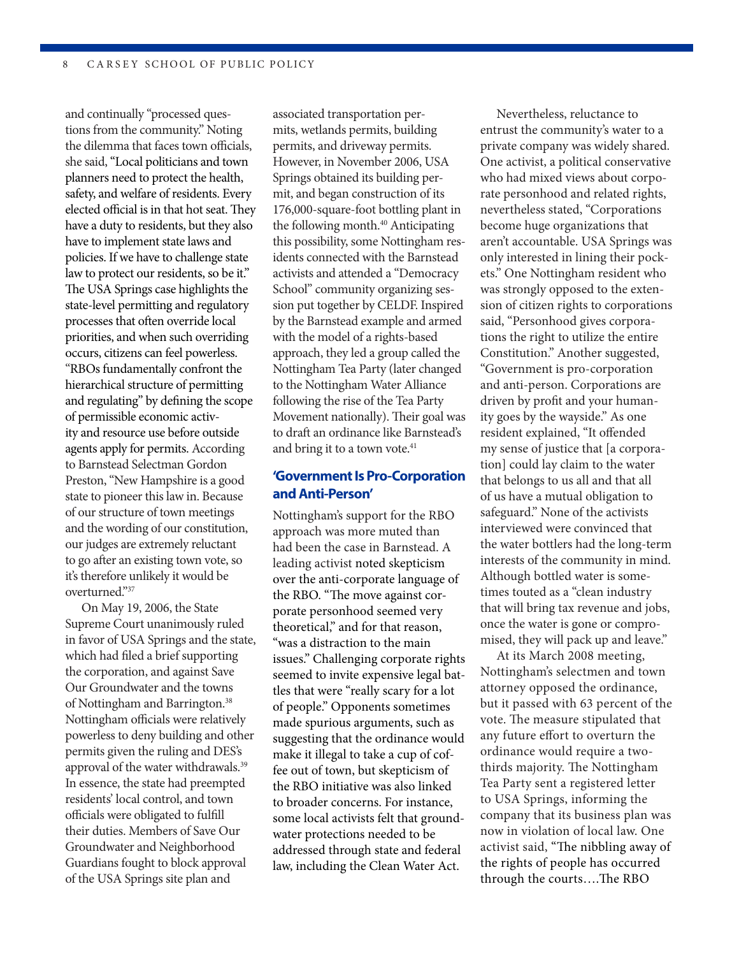and continually "processed questions from the community." Noting the dilemma that faces town officials, she said, "Local politicians and town planners need to protect the health, safety, and welfare of residents. Every elected official is in that hot seat. They have a duty to residents, but they also have to implement state laws and policies. If we have to challenge state law to protect our residents, so be it." The USA Springs case highlights the state-level permitting and regulatory processes that often override local priorities, and when such overriding occurs, citizens can feel powerless. "RBOs fundamentally confront the hierarchical structure of permitting and regulating" by defining the scope of permissible economic activity and resource use before outside agents apply for permits. According to Barnstead Selectman Gordon Preston, "New Hampshire is a good state to pioneer this law in. Because of our structure of town meetings and the wording of our constitution, our judges are extremely reluctant to go after an existing town vote, so it's therefore unlikely it would be overturned."37

On May 19, 2006, the State Supreme Court unanimously ruled in favor of USA Springs and the state, which had filed a brief supporting the corporation, and against Save Our Groundwater and the towns of Nottingham and Barrington.<sup>38</sup> Nottingham officials were relatively powerless to deny building and other permits given the ruling and DES's approval of the water withdrawals.39 In essence, the state had preempted residents' local control, and town officials were obligated to fulfill their duties. Members of Save Our Groundwater and Neighborhood Guardians fought to block approval of the USA Springs site plan and

associated transportation permits, wetlands permits, building permits, and driveway permits. However, in November 2006, USA Springs obtained its building permit, and began construction of its 176,000-square-foot bottling plant in the following month.<sup>40</sup> Anticipating this possibility, some Nottingham residents connected with the Barnstead activists and attended a "Democracy School" community organizing session put together by CELDF. Inspired by the Barnstead example and armed with the model of a rights-based approach, they led a group called the Nottingham Tea Party (later changed to the Nottingham Water Alliance following the rise of the Tea Party Movement nationally). Their goal was to draft an ordinance like Barnstead's and bring it to a town vote.<sup>41</sup>

#### **'Government Is Pro-Corporation and Anti-Person'**

Nottingham's support for the RBO approach was more muted than had been the case in Barnstead. A leading activist noted skepticism over the anti-corporate language of the RBO. "The move against corporate personhood seemed very theoretical," and for that reason, "was a distraction to the main issues." Challenging corporate rights seemed to invite expensive legal battles that were "really scary for a lot of people." Opponents sometimes made spurious arguments, such as suggesting that the ordinance would make it illegal to take a cup of coffee out of town, but skepticism of the RBO initiative was also linked to broader concerns. For instance, some local activists felt that groundwater protections needed to be addressed through state and federal law, including the Clean Water Act.

Nevertheless, reluctance to entrust the community's water to a private company was widely shared. One activist, a political conservative who had mixed views about corporate personhood and related rights, nevertheless stated, "Corporations become huge organizations that aren't accountable. USA Springs was only interested in lining their pockets." One Nottingham resident who was strongly opposed to the extension of citizen rights to corporations said, "Personhood gives corporations the right to utilize the entire Constitution." Another suggested, "Government is pro-corporation and anti-person. Corporations are driven by profit and your humanity goes by the wayside." As one resident explained, "It offended my sense of justice that [a corporation] could lay claim to the water that belongs to us all and that all of us have a mutual obligation to safeguard." None of the activists interviewed were convinced that the water bottlers had the long-term interests of the community in mind. Although bottled water is sometimes touted as a "clean industry that will bring tax revenue and jobs, once the water is gone or compromised, they will pack up and leave."

At its March 2008 meeting, Nottingham's selectmen and town attorney opposed the ordinance, but it passed with 63 percent of the vote. The measure stipulated that any future effort to overturn the ordinance would require a twothirds majority. The Nottingham Tea Party sent a registered letter to USA Springs, informing the company that its business plan was now in violation of local law. One activist said, "The nibbling away of the rights of people has occurred through the courts….The RBO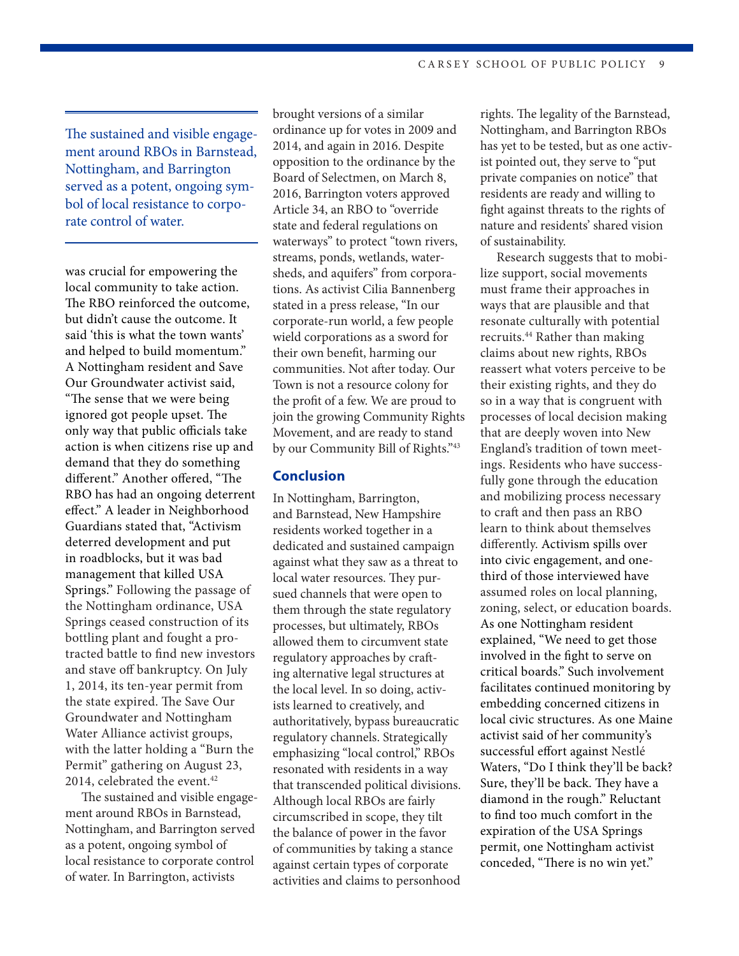The sustained and visible engagement around RBOs in Barnstead, Nottingham, and Barrington served as a potent, ongoing symbol of local resistance to corporate control of water.

was crucial for empowering the local community to take action. The RBO reinforced the outcome, but didn't cause the outcome. It said 'this is what the town wants' and helped to build momentum." A Nottingham resident and Save Our Groundwater activist said, "The sense that we were being ignored got people upset. The only way that public officials take action is when citizens rise up and demand that they do something different." Another offered, "The RBO has had an ongoing deterrent effect." A leader in Neighborhood Guardians stated that, "Activism deterred development and put in roadblocks, but it was bad management that killed USA Springs." Following the passage of the Nottingham ordinance, USA Springs ceased construction of its bottling plant and fought a protracted battle to find new investors and stave off bankruptcy. On July 1, 2014, its ten-year permit from the state expired. The Save Our Groundwater and Nottingham Water Alliance activist groups, with the latter holding a "Burn the Permit" gathering on August 23, 2014, celebrated the event.<sup>42</sup>

The sustained and visible engagement around RBOs in Barnstead, Nottingham, and Barrington served as a potent, ongoing symbol of local resistance to corporate control of water. In Barrington, activists

brought versions of a similar ordinance up for votes in 2009 and 2014, and again in 2016. Despite opposition to the ordinance by the Board of Selectmen, on March 8, 2016, Barrington voters approved Article 34, an RBO to "override state and federal regulations on waterways" to protect "town rivers, streams, ponds, wetlands, watersheds, and aquifers" from corporations. As activist Cilia Bannenberg stated in a press release, "In our corporate-run world, a few people wield corporations as a sword for their own benefit, harming our communities. Not after today. Our Town is not a resource colony for the profit of a few. We are proud to join the growing Community Rights Movement, and are ready to stand by our Community Bill of Rights."43

#### **Conclusion**

In Nottingham, Barrington, and Barnstead, New Hampshire residents worked together in a dedicated and sustained campaign against what they saw as a threat to local water resources. They pursued channels that were open to them through the state regulatory processes, but ultimately, RBOs allowed them to circumvent state regulatory approaches by crafting alternative legal structures at the local level. In so doing, activists learned to creatively, and authoritatively, bypass bureaucratic regulatory channels. Strategically emphasizing "local control," RBOs resonated with residents in a way that transcended political divisions. Although local RBOs are fairly circumscribed in scope, they tilt the balance of power in the favor of communities by taking a stance against certain types of corporate activities and claims to personhood

rights. The legality of the Barnstead, Nottingham, and Barrington RBOs has yet to be tested, but as one activist pointed out, they serve to "put private companies on notice" that residents are ready and willing to fight against threats to the rights of nature and residents' shared vision of sustainability.

Research suggests that to mobilize support, social movements must frame their approaches in ways that are plausible and that resonate culturally with potential recruits.<sup>44</sup> Rather than making claims about new rights, RBOs reassert what voters perceive to be their existing rights, and they do so in a way that is congruent with processes of local decision making that are deeply woven into New England's tradition of town meetings. Residents who have successfully gone through the education and mobilizing process necessary to craft and then pass an RBO learn to think about themselves differently. Activism spills over into civic engagement, and onethird of those interviewed have assumed roles on local planning, zoning, select, or education boards. As one Nottingham resident explained, "We need to get those involved in the fight to serve on critical boards." Such involvement facilitates continued monitoring by embedding concerned citizens in local civic structures. As one Maine activist said of her community's successful effort against Nestlé Waters, "Do I think they'll be back? Sure, they'll be back. They have a diamond in the rough." Reluctant to find too much comfort in the expiration of the USA Springs permit, one Nottingham activist conceded, "There is no win yet."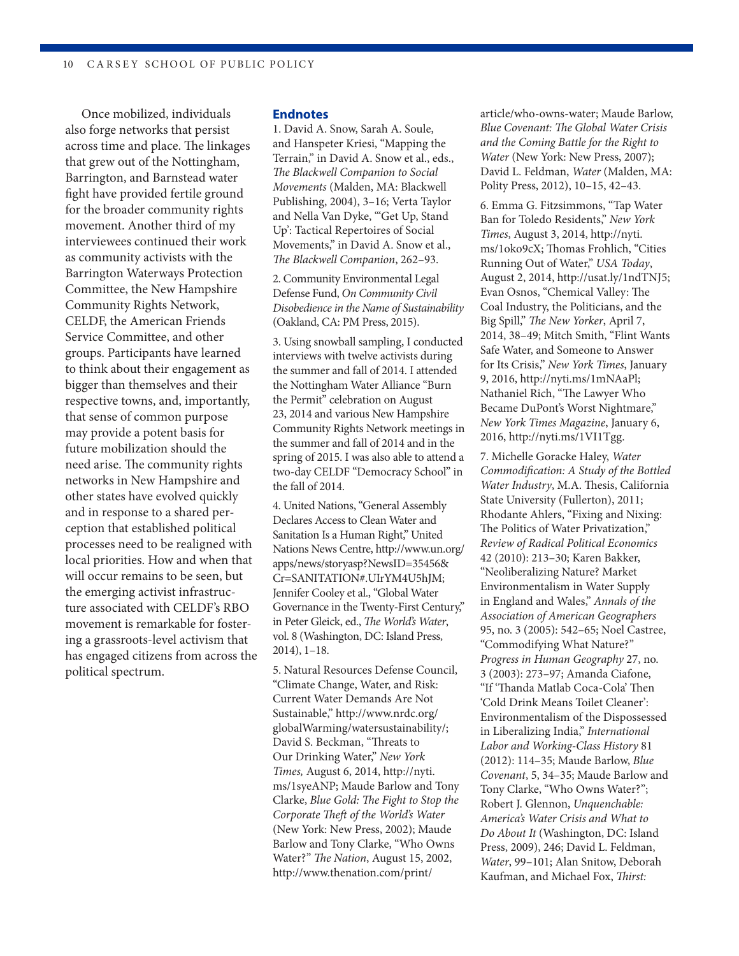Once mobilized, individuals also forge networks that persist across time and place. The linkages that grew out of the Nottingham, Barrington, and Barnstead water fight have provided fertile ground for the broader community rights movement. Another third of my interviewees continued their work as community activists with the Barrington Waterways Protection Committee, the New Hampshire Community Rights Network, CELDF, the American Friends Service Committee, and other groups. Participants have learned to think about their engagement as bigger than themselves and their respective towns, and, importantly, that sense of common purpose may provide a potent basis for future mobilization should the need arise. The community rights networks in New Hampshire and other states have evolved quickly and in response to a shared perception that established political processes need to be realigned with local priorities. How and when that will occur remains to be seen, but the emerging activist infrastructure associated with CELDF's RBO movement is remarkable for fostering a grassroots-level activism that has engaged citizens from across the political spectrum.

#### **Endnotes**

1. David A. Snow, Sarah A. Soule, and Hanspeter Kriesi, "Mapping the Terrain," in David A. Snow et al., eds., *The Blackwell Companion to Social Movements* (Malden, MA: Blackwell Publishing, 2004), 3–16; Verta Taylor and Nella Van Dyke, "'Get Up, Stand Up': Tactical Repertoires of Social Movements," in David A. Snow et al., *The Blackwell Companion*, 262–93.

2. Community Environmental Legal Defense Fund, *On Community Civil Disobedience in the Name of Sustainability* (Oakland, CA: PM Press, 2015).

3. Using snowball sampling, I conducted interviews with twelve activists during the summer and fall of 2014. I attended the Nottingham Water Alliance "Burn the Permit" celebration on August 23, 2014 and various New Hampshire Community Rights Network meetings in the summer and fall of 2014 and in the spring of 2015. I was also able to attend a two-day CELDF "Democracy School" in the fall of 2014.

4. United Nations, "General Assembly Declares Access to Clean Water and Sanitation Is a Human Right," United Nations News Centre, http://www.un.org/ apps/news/storyasp?NewsID=35456& Cr=SANITATION#.UIrYM4U5hJM; Jennifer Cooley et al., "Global Water Governance in the Twenty-First Century," in Peter Gleick, ed., *The World's Water*, vol. 8 (Washington, DC: Island Press, 2014), 1–18.

5. Natural Resources Defense Council, "Climate Change, Water, and Risk: Current Water Demands Are Not Sustainable," http://www.nrdc.org/ globalWarming/watersustainability/; David S. Beckman, "Threats to Our Drinking Water," *New York Times,* August 6, 2014, http://nyti. ms/1syeANP; Maude Barlow and Tony Clarke, *Blue Gold: The Fight to Stop the Corporate Theft of the World's Water* (New York: New Press, 2002); Maude Barlow and Tony Clarke, "Who Owns Water?" *The Nation*, August 15, 2002, http://www.thenation.com/print/

article/who-owns-water; Maude Barlow, *Blue Covenant: The Global Water Crisis and the Coming Battle for the Right to Water* (New York: New Press, 2007); David L. Feldman, *Water* (Malden, MA: Polity Press, 2012), 10–15, 42–43.

6. Emma G. Fitzsimmons, "Tap Water Ban for Toledo Residents," *New York Times*, August 3, 2014, http://nyti. ms/1oko9cX; Thomas Frohlich, "Cities Running Out of Water," *USA Today*, August 2, 2014, http://usat.ly/1ndTNJ5; Evan Osnos, "Chemical Valley: The Coal Industry, the Politicians, and the Big Spill," *The New Yorker*, April 7, 2014, 38–49; Mitch Smith, "Flint Wants Safe Water, and Someone to Answer for Its Crisis," *New York Times*, January 9, 2016, http://nyti.ms/1mNAaPl; Nathaniel Rich, "The Lawyer Who Became DuPont's Worst Nightmare," *New York Times Magazine*, January 6, 2016, http://nyti.ms/1VI1Tgg.

7. Michelle Goracke Haley, *Water Commodification: A Study of the Bottled Water Industry*, M.A. Thesis, California State University (Fullerton), 2011; Rhodante Ahlers, "Fixing and Nixing: The Politics of Water Privatization," *Review of Radical Political Economics* 42 (2010): 213–30; Karen Bakker, "Neoliberalizing Nature? Market Environmentalism in Water Supply in England and Wales," *Annals of the Association of American Geographers* 95, no. 3 (2005): 542–65; Noel Castree, "Commodifying What Nature?" *Progress in Human Geography* 27, no. 3 (2003): 273–97; Amanda Ciafone, "If 'Thanda Matlab Coca-Cola' Then 'Cold Drink Means Toilet Cleaner': Environmentalism of the Dispossessed in Liberalizing India," *International Labor and Working-Class History* 81 (2012): 114–35; Maude Barlow, *Blue Covenant*, 5, 34–35; Maude Barlow and Tony Clarke, "Who Owns Water?"; Robert J. Glennon, *Unquenchable: America's Water Crisis and What to Do About It* (Washington, DC: Island Press, 2009), 246; David L. Feldman, *Water*, 99–101; Alan Snitow, Deborah Kaufman, and Michael Fox, *Thirst:*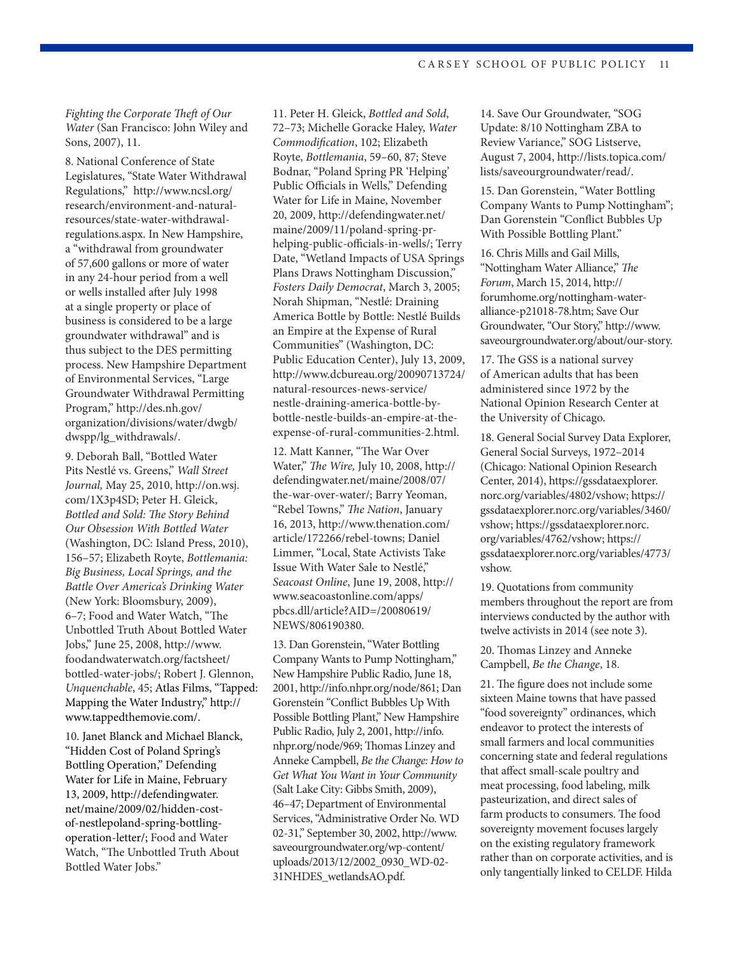*Fighting the Corporate Theft of Our Water* (San Francisco: John Wiley and Sons, 2007), 11.

8. National Conference of State Legislatures, "State Water Withdrawal Regulations," http://www.ncsl.org/ research/environment-and-naturalresources/state-water-withdrawalregulations.aspx. In New Hampshire, a "withdrawal from groundwater of 57,600 gallons or more of water in any 24-hour period from a well or wells installed after July 1998 at a single property or place of business is considered to be a large groundwater withdrawal" and is thus subject to the DES permitting process. New Hampshire Department of Environmental Services, "Large Groundwater Withdrawal Permitting Program," http://des.nh.gov/ organization/divisions/water/dwgb/ dwspp/lg\_withdrawals/.

9. Deborah Ball, "Bottled Water Pits Nestlé vs. Greens," *Wall Street Journal,* May 25, 2010, http://on.wsj. com/1X3p4SD; Peter H. Gleick, *Bottled and Sold: The Story Behind Our Obsession With Bottled Water* (Washington, DC: Island Press, 2010), 156–57; Elizabeth Royte, *Bottlemania: Big Business, Local Springs, and the Battle Over America's Drinking Water* (New York: Bloomsbury, 2009), 6–7; Food and Water Watch, "The Unbottled Truth About Bottled Water Jobs," June 25, 2008, http://www. foodandwaterwatch.org/factsheet/ bottled-water-jobs/; Robert J. Glennon, *Unquenchable*, 45; Atlas Films, "Tapped: Mapping the Water Industry," http:// www.tappedthemovie.com/.

10. Janet Blanck and Michael Blanck, "Hidden Cost of Poland Spring's Bottling Operation," Defending Water for Life in Maine, February 13, 2009, http://defendingwater. net/maine/2009/02/hidden-costof-nestlepoland-spring-bottlingoperation-letter/; Food and Water Watch, "The Unbottled Truth About Bottled Water Jobs."

11. Peter H. Gleick, *Bottled and Sold*, 72–73; Michelle Goracke Haley, *Water Commodification*, 102; Elizabeth Royte, *Bottlemania*, 59–60, 87; Steve Bodnar, "Poland Spring PR 'Helping' Public Officials in Wells," Defending Water for Life in Maine, November 20, 2009, http://defendingwater.net/ maine/2009/11/poland-spring-prhelping-public-officials-in-wells/; Terry Date, "Wetland Impacts of USA Springs Plans Draws Nottingham Discussion," *Fosters Daily Democrat*, March 3, 2005; Norah Shipman, "Nestlé: Draining America Bottle by Bottle: Nestlé Builds an Empire at the Expense of Rural Communities" (Washington, DC: Public Education Center), July 13, 2009, http://www.dcbureau.org/20090713724/ natural-resources-news-service/ nestle-draining-america-bottle-bybottle-nestle-builds-an-empire-at-theexpense-of-rural-communities-2.html.

12. Matt Kanner, "The War Over Water," *The Wire,* July 10, 2008, http:// defendingwater.net/maine/2008/07/ the-war-over-water/; Barry Yeoman, "Rebel Towns," *The Nation*, January 16, 2013, http://www.thenation.com/ article/172266/rebel-towns; Daniel Limmer, "Local, State Activists Take Issue With Water Sale to Nestlé," *Seacoast Online*, June 19, 2008, http:// www.seacoastonline.com/apps/ pbcs.dll/article?AID=/20080619/ NEWS/806190380.

13. Dan Gorenstein, "Water Bottling Company Wants to Pump Nottingham," New Hampshire Public Radio, June 18, 2001, http://info.nhpr.org/node/861; Dan Gorenstein "Conflict Bubbles Up With Possible Bottling Plant," New Hampshire Public Radio, July 2, 2001, http://info. nhpr.org/node/969; Thomas Linzey and Anneke Campbell, *Be the Change: How to Get What You Want in Your Community* (Salt Lake City: Gibbs Smith, 2009), 46–47; Department of Environmental Services, "Administrative Order No. WD 02-31," September 30, 2002, http://www. saveourgroundwater.org/wp-content/ uploads/2013/12/2002\_0930\_WD-02- 31NHDES\_wetlandsAO.pdf.

14. Save Our Groundwater, "SOG Update: 8/10 Nottingham ZBA to Review Variance," SOG Listserve, August 7, 2004, http://lists.topica.com/ lists/saveourgroundwater/read/.

15. Dan Gorenstein, "Water Bottling Company Wants to Pump Nottingham"; Dan Gorenstein "Conflict Bubbles Up With Possible Bottling Plant."

16. Chris Mills and Gail Mills, "Nottingham Water Alliance," *The Forum*, March 15, 2014, http:// forumhome.org/nottingham-wateralliance-p21018-78.htm; Save Our Groundwater, "Our Story," http://www. saveourgroundwater.org/about/our-story.

17. The GSS is a national survey of American adults that has been administered since 1972 by the National Opinion Research Center at the University of Chicago.

18. General Social Survey Data Explorer, General Social Surveys, 1972–2014 (Chicago: National Opinion Research Center, 2014), https://gssdataexplorer. norc.org/variables/4802/vshow; https:// gssdataexplorer.norc.org/variables/3460/ vshow; https://gssdataexplorer.norc. org/variables/4762/vshow; https:// gssdataexplorer.norc.org/variables/4773/ vshow.

19. Quotations from community members throughout the report are from interviews conducted by the author with twelve activists in 2014 (see note 3).

20. Thomas Linzey and Anneke Campbell, *Be the Change*, 18.

21. The figure does not include some sixteen Maine towns that have passed "food sovereignty" ordinances, which endeavor to protect the interests of small farmers and local communities concerning state and federal regulations that affect small-scale poultry and meat processing, food labeling, milk pasteurization, and direct sales of farm products to consumers. The food sovereignty movement focuses largely on the existing regulatory framework rather than on corporate activities, and is only tangentially linked to CELDF. Hilda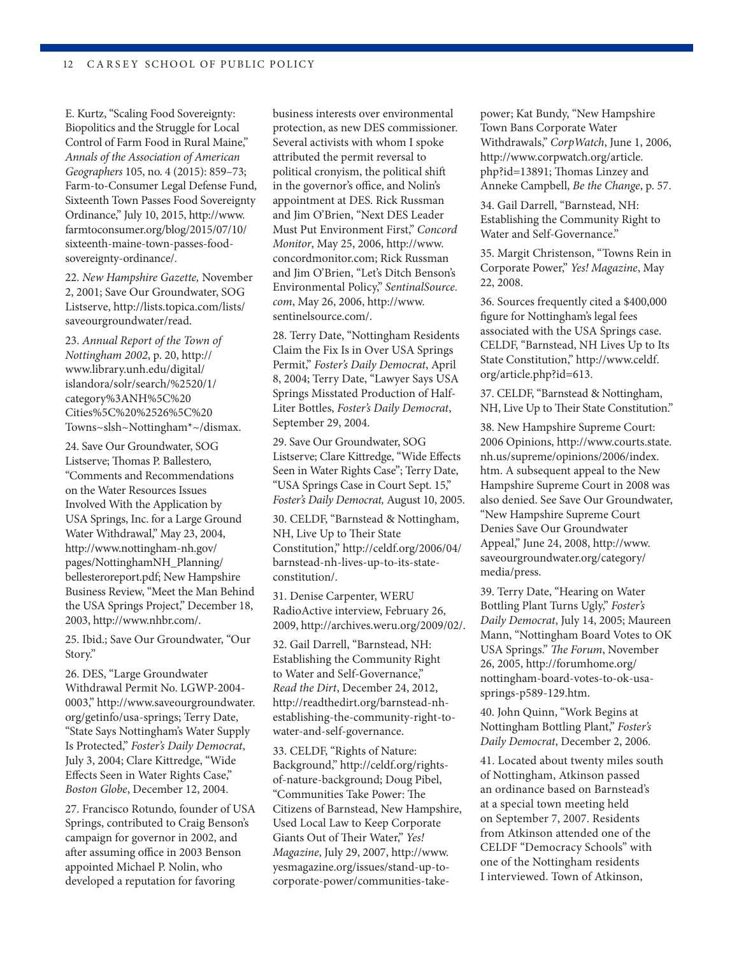E. Kurtz, "Scaling Food Sovereignty: Biopolitics and the Struggle for Local Control of Farm Food in Rural Maine," *Annals of the Association of American Geographers* 105, no. 4 (2015): 859–73; Farm-to-Consumer Legal Defense Fund, Sixteenth Town Passes Food Sovereignty Ordinance," July 10, 2015, http://www. farmtoconsumer.org/blog/2015/07/10/ sixteenth-maine-town-passes-foodsovereignty-ordinance/.

22. *New Hampshire Gazette,* November 2, 2001; Save Our Groundwater, SOG Listserve, http://lists.topica.com/lists/ saveourgroundwater/read.

23. *Annual Report of the Town of Nottingham 2002*, p. 20, http:// www.library.unh.edu/digital/ islandora/solr/search/%2520/1/ category%3ANH%5C%20 Cities%5C%20%2526%5C%20 Towns~slsh~Nottingham\*~/dismax.

24. Save Our Groundwater, SOG Listserve; Thomas P. Ballestero, "Comments and Recommendations on the Water Resources Issues Involved With the Application by USA Springs, Inc. for a Large Ground Water Withdrawal," May 23, 2004, http://www.nottingham-nh.gov/ pages/NottinghamNH\_Planning/ bellesteroreport.pdf; New Hampshire Business Review, "Meet the Man Behind the USA Springs Project," December 18, 2003, http://www.nhbr.com/.

25. Ibid.; Save Our Groundwater, "Our Story."

26. DES, "Large Groundwater Withdrawal Permit No. LGWP-2004- 0003," http://www.saveourgroundwater. org/getinfo/usa-springs; Terry Date, "State Says Nottingham's Water Supply Is Protected," *Foster's Daily Democrat*, July 3, 2004; Clare Kittredge, "Wide Effects Seen in Water Rights Case," *Boston Globe*, December 12, 2004.

27. Francisco Rotundo, founder of USA Springs, contributed to Craig Benson's campaign for governor in 2002, and after assuming office in 2003 Benson appointed Michael P. Nolin, who developed a reputation for favoring

business interests over environmental protection, as new DES commissioner. Several activists with whom I spoke attributed the permit reversal to political cronyism, the political shift in the governor's office, and Nolin's appointment at DES. Rick Russman and Jim O'Brien, "Next DES Leader Must Put Environment First," *Concord Monitor*, May 25, 2006, http://www. concordmonitor.com; Rick Russman and Jim O'Brien, "Let's Ditch Benson's Environmental Policy," *SentinalSource. com*, May 26, 2006, http://www. sentinelsource.com/.

28. Terry Date, "Nottingham Residents Claim the Fix Is in Over USA Springs Permit," *Foster's Daily Democrat*, April 8, 2004; Terry Date, "Lawyer Says USA Springs Misstated Production of Half-Liter Bottles, *Foster's Daily Democrat*, September 29, 2004.

29. Save Our Groundwater, SOG Listserve; Clare Kittredge, "Wide Effects Seen in Water Rights Case"; Terry Date, "USA Springs Case in Court Sept. 15," *Foster's Daily Democrat,* August 10, 2005.

30. CELDF, "Barnstead & Nottingham, NH, Live Up to Their State Constitution," http://celdf.org/2006/04/ barnstead-nh-lives-up-to-its-stateconstitution/.

31. Denise Carpenter, WERU RadioActive interview, February 26, 2009, http://archives.weru.org/2009/02/.

32. Gail Darrell, "Barnstead, NH: Establishing the Community Right to Water and Self-Governance," *Read the Dirt*, December 24, 2012, http://readthedirt.org/barnstead-nhestablishing-the-community-right-towater-and-self-governance.

33. CELDF, "Rights of Nature: Background," http://celdf.org/rightsof-nature-background; Doug Pibel, "Communities Take Power: The Citizens of Barnstead, New Hampshire, Used Local Law to Keep Corporate Giants Out of Their Water," *Yes! Magazine*, July 29, 2007, http://www. yesmagazine.org/issues/stand-up-tocorporate-power/communities-takepower; Kat Bundy, "New Hampshire Town Bans Corporate Water Withdrawals," *CorpWatch*, June 1, 2006, http://www.corpwatch.org/article. php?id=13891; Thomas Linzey and Anneke Campbell, *Be the Change*, p. 57.

34. Gail Darrell, "Barnstead, NH: Establishing the Community Right to Water and Self-Governance."

35. Margit Christenson, "Towns Rein in Corporate Power," *Yes! Magazine*, May 22, 2008.

36. Sources frequently cited a \$400,000 figure for Nottingham's legal fees associated with the USA Springs case. CELDF, "Barnstead, NH Lives Up to Its State Constitution," http://www.celdf. org/article.php?id=613.

37. CELDF, "Barnstead & Nottingham, NH, Live Up to Their State Constitution."

38. New Hampshire Supreme Court: 2006 Opinions, http://www.courts.state. nh.us/supreme/opinions/2006/index. htm. A subsequent appeal to the New Hampshire Supreme Court in 2008 was also denied. See Save Our Groundwater, "New Hampshire Supreme Court Denies Save Our Groundwater Appeal," June 24, 2008, http://www. saveourgroundwater.org/category/ media/press.

39. Terry Date, "Hearing on Water Bottling Plant Turns Ugly," *Foster's Daily Democrat*, July 14, 2005; Maureen Mann, "Nottingham Board Votes to OK USA Springs." *The Forum*, November 26, 2005, http://forumhome.org/ nottingham-board-votes-to-ok-usasprings-p589-129.htm.

40. John Quinn, "Work Begins at Nottingham Bottling Plant," *Foster's Daily Democrat*, December 2, 2006.

41. Located about twenty miles south of Nottingham, Atkinson passed an ordinance based on Barnstead's at a special town meeting held on September 7, 2007. Residents from Atkinson attended one of the CELDF "Democracy Schools" with one of the Nottingham residents I interviewed. Town of Atkinson,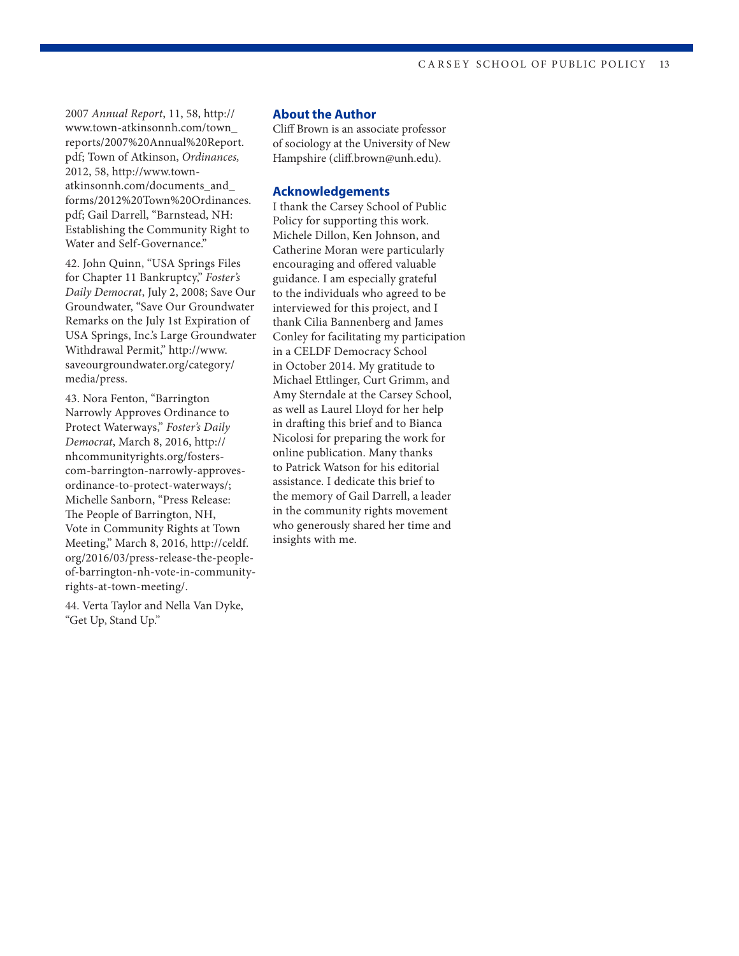2007 *Annual Report*, 11, 58, http:// www.town-atkinsonnh.com/town\_ reports/2007%20Annual%20Report. pdf; Town of Atkinson, *Ordinances,*  2012, 58, http://www.townatkinsonnh.com/documents\_and\_ forms/2012%20Town%20Ordinances. pdf; Gail Darrell, "Barnstead, NH: Establishing the Community Right to Water and Self-Governance."

42. John Quinn, "USA Springs Files for Chapter 11 Bankruptcy," *Foster's Daily Democrat*, July 2, 2008; Save Our Groundwater, "Save Our Groundwater Remarks on the July 1st Expiration of USA Springs, Inc.'s Large Groundwater Withdrawal Permit," http://www. saveourgroundwater.org/category/ media/press.

43. Nora Fenton, "Barrington Narrowly Approves Ordinance to Protect Waterways," *Foster's Daily Democrat*, March 8, 2016, http:// nhcommunityrights.org/fosterscom-barrington-narrowly-approvesordinance-to-protect-waterways/; Michelle Sanborn, "Press Release: The People of Barrington, NH, Vote in Community Rights at Town Meeting," March 8, 2016, http://celdf. org/2016/03/press-release-the-peopleof-barrington-nh-vote-in-communityrights-at-town-meeting/.

44. Verta Taylor and Nella Van Dyke, "Get Up, Stand Up."

#### **About the Author**

Cliff Brown is an associate professor of sociology at the University of New Hampshire (cliff.brown@unh.edu).

#### **Acknowledgements**

I thank the Carsey School of Public Policy for supporting this work. Michele Dillon, Ken Johnson, and Catherine Moran were particularly encouraging and offered valuable guidance. I am especially grateful to the individuals who agreed to be interviewed for this project, and I thank Cilia Bannenberg and James Conley for facilitating my participation in a CELDF Democracy School in October 2014. My gratitude to Michael Ettlinger, Curt Grimm, and Amy Sterndale at the Carsey School, as well as Laurel Lloyd for her help in drafting this brief and to Bianca Nicolosi for preparing the work for online publication. Many thanks to Patrick Watson for his editorial assistance. I dedicate this brief to the memory of Gail Darrell, a leader in the community rights movement who generously shared her time and insights with me.